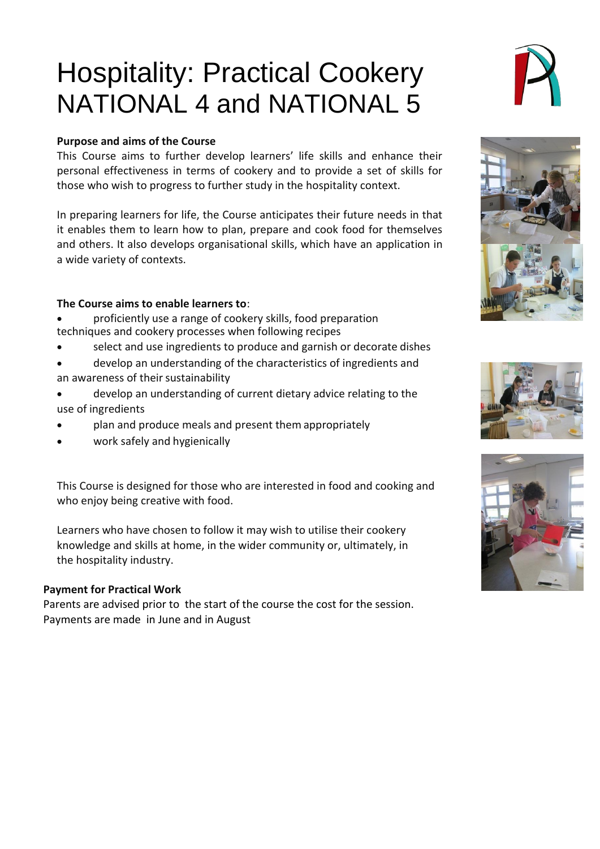# Hospitality: Practical Cookery NATIONAL 4 and NATIONAL 5

## **Purpose and aims of the Course**

This Course aims to further develop learners' life skills and enhance their personal effectiveness in terms of cookery and to provide a set of skills for those who wish to progress to further study in the hospitality context.

In preparing learners for life, the Course anticipates their future needs in that it enables them to learn how to plan, prepare and cook food for themselves and others. It also develops organisational skills, which have an application in a wide variety of contexts.

## **The Course aims to enable learners to**:

- proficiently use a range of cookery skills, food preparation techniques and cookery processes when following recipes
- select and use ingredients to produce and garnish or decorate dishes
- develop an understanding of the characteristics of ingredients and an awareness of their sustainability
- develop an understanding of current dietary advice relating to the use of ingredients
- plan and produce meals and present them appropriately
- work safely and hygienically

This Course is designed for those who are interested in food and cooking and who enjoy being creative with food.

Learners who have chosen to follow it may wish to utilise their cookery knowledge and skills at home, in the wider community or, ultimately, in the hospitality industry.

## **Payment for Practical Work**

Parents are advised prior to the start of the course the cost for the session. Payments are made in June and in August